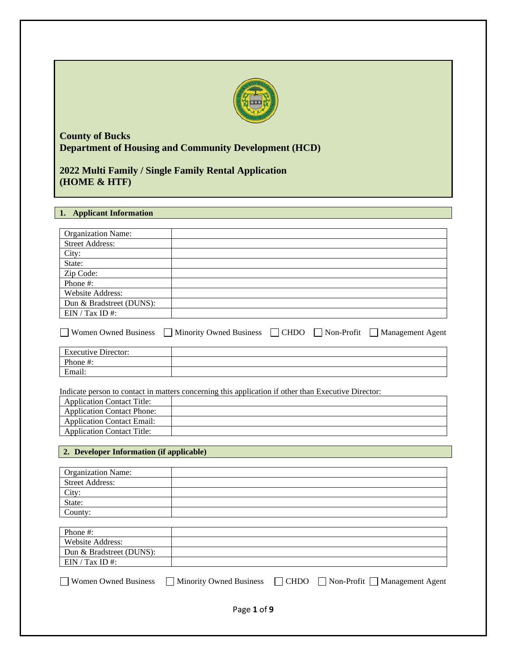

# **County of Bucks Department of Housing and Community Development (HCD)**

**2022 Multi Family / Single Family Rental Application (HOME & HTF)**

## **1. Applicant Information**

| <b>Organization Name:</b>                                                                                                                        |                                                                                                           |
|--------------------------------------------------------------------------------------------------------------------------------------------------|-----------------------------------------------------------------------------------------------------------|
| <b>Street Address:</b>                                                                                                                           |                                                                                                           |
| City:                                                                                                                                            |                                                                                                           |
| State:                                                                                                                                           |                                                                                                           |
| Zip Code:                                                                                                                                        |                                                                                                           |
| Phone #:                                                                                                                                         |                                                                                                           |
| Website Address:                                                                                                                                 |                                                                                                           |
| Dun & Bradstreet (DUNS):                                                                                                                         |                                                                                                           |
| EIN / Tax ID #:                                                                                                                                  |                                                                                                           |
|                                                                                                                                                  | Women Owned Business $\Box$ Minority Owned Business $\Box$ CHDO $\Box$ Non-Profit $\Box$ Management Agent |
| <b>Executive Director:</b>                                                                                                                       |                                                                                                           |
| Phone #:                                                                                                                                         |                                                                                                           |
| Email:                                                                                                                                           |                                                                                                           |
| <b>Application Contact Title:</b><br><b>Application Contact Phone:</b><br><b>Application Contact Email:</b><br><b>Application Contact Title:</b> |                                                                                                           |
| 2. Developer Information (if applicable)                                                                                                         |                                                                                                           |
|                                                                                                                                                  |                                                                                                           |
| <b>Organization Name:</b>                                                                                                                        |                                                                                                           |
| <b>Street Address:</b>                                                                                                                           |                                                                                                           |
| City:                                                                                                                                            |                                                                                                           |
| State:                                                                                                                                           |                                                                                                           |
| County:                                                                                                                                          |                                                                                                           |
|                                                                                                                                                  |                                                                                                           |
| Phone #:                                                                                                                                         |                                                                                                           |
| Website Address:                                                                                                                                 |                                                                                                           |
| Dun & Bradstreet (DUNS):                                                                                                                         |                                                                                                           |
| EIN / Tax ID #:                                                                                                                                  |                                                                                                           |
|                                                                                                                                                  |                                                                                                           |

Women Owned Business  $\Box$  Minority Owned Business  $\Box$  CHDO  $\Box$  Non-Profit  $\Box$  Management Agent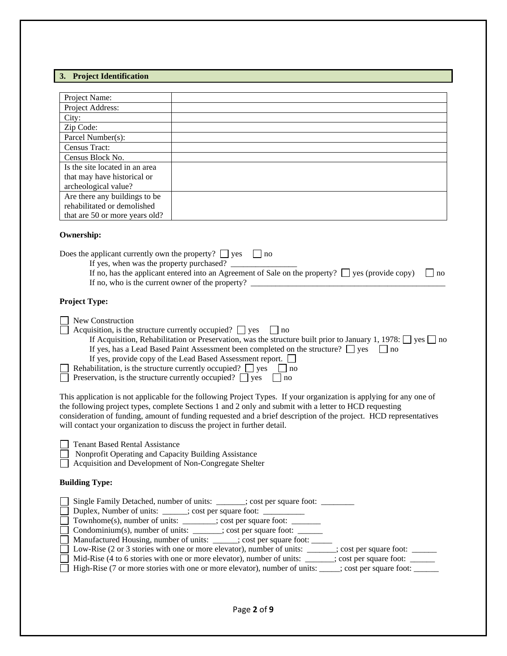#### **3. Project Identification**

| Project Name:                  |  |
|--------------------------------|--|
| Project Address:               |  |
| City:                          |  |
| Zip Code:                      |  |
| Parcel Number(s):              |  |
| Census Tract:                  |  |
| Census Block No.               |  |
| Is the site located in an area |  |
| that may have historical or    |  |
| archeological value?           |  |
| Are there any buildings to be  |  |
| rehabilitated or demolished    |  |
| that are 50 or more years old? |  |

#### **Ownership:**

Does the applicant currently own the property?  $\Box$  yes  $\Box$  no

If yes, when was the property purchased? \_\_\_\_\_\_\_\_\_\_\_\_\_\_\_\_ If no, has the applicant entered into an Agreement of Sale on the property?  $\Box$  yes (provide copy)  $\Box$  no If no, who is the current owner of the property?  $\Box$ 

#### **Project Type:**

New Construction

- Acquisition, is the structure currently occupied?  $\Box$  yes  $\Box$  no
	- If Acquisition, Rehabilitation or Preservation, was the structure built prior to January 1, 1978:  $\Box$  yes  $\Box$  no If yes, has a Lead Based Paint Assessment been completed on the structure?  $\Box$  yes  $\Box$  no If yes, provide copy of the Lead Based Assessment report.

Rehabilitation, is the structure currently occupied?  $\Box$  yes  $\Box$  no  $\Box$  Preservation, is the structure currently occupied?  $\Box$  yes  $\Box$  no

This application is not applicable for the following Project Types. If your organization is applying for any one of the following project types, complete Sections 1 and 2 only and submit with a letter to HCD requesting consideration of funding, amount of funding requested and a brief description of the project. HCD representatives will contact your organization to discuss the project in further detail.

Nonprofit Operating and Capacity Building Assistance

Acquisition and Development of Non-Congregate Shelter

#### **Building Type:**

| Single Family Detached, number of units: ______; cost per square foot: ________                                                                            |
|------------------------------------------------------------------------------------------------------------------------------------------------------------|
| □ Duplex, Number of units: ______; cost per square foot: _________                                                                                         |
| Townhome(s), number of units: _______; cost per square foot: ______                                                                                        |
| □ Condominium(s), number of units: ______; cost per square foot: _____                                                                                     |
| Manufactured Housing, number of units: _____; cost per square foot:                                                                                        |
| Low-Rise (2 or 3 stories with one or more elevator), number of units: ______; cost per square foot: ______                                                 |
| Mid-Rise (4 to 6 stories with one or more elevator), number of units: ______; cost per square foot: _______________________________; cost per square foot: |
| High-Rise (7 or more stories with one or more elevator), number of units: ____; cost per square foot: _____                                                |
|                                                                                                                                                            |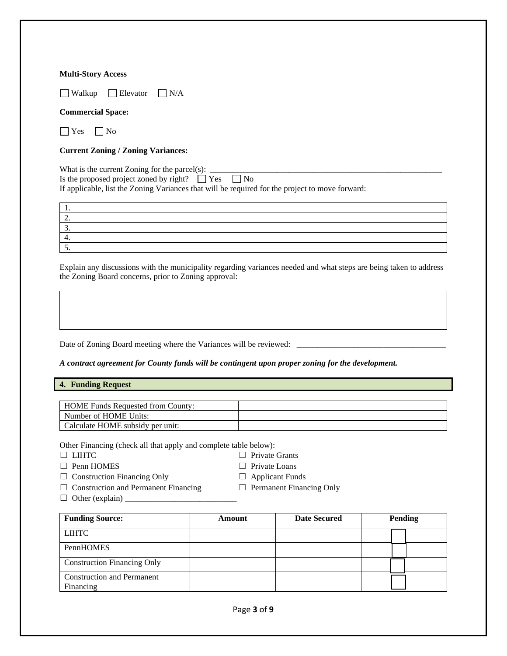#### **Multi-Story Access**

 $\Box$  Walkup  $\Box$  Elevator  $\Box$  N/A

## **Commercial Space:**

 $\Box$  Yes  $\Box$  No

## **Current Zoning / Zoning Variances:**

What is the current Zoning for the parcel(s):<br>Is the proposed project zoned by right?  $\Box$  Yes  $\Box$  No Is the proposed project zoned by right?  $\Box$  Yes If applicable, list the Zoning Variances that will be required for the project to move forward:

| . .                      |  |
|--------------------------|--|
| $\overline{\phantom{a}}$ |  |
| . ب                      |  |
|                          |  |
| <u>.</u>                 |  |

Explain any discussions with the municipality regarding variances needed and what steps are being taken to address the Zoning Board concerns, prior to Zoning approval:

Date of Zoning Board meeting where the Variances will be reviewed: \_\_\_\_\_\_\_\_\_\_\_\_\_\_\_\_\_\_\_\_\_\_\_\_\_\_\_\_\_\_\_\_\_\_\_\_

#### *A contract agreement for County funds will be contingent upon proper zoning for the development.*

#### **4. Funding Request**

| <b>HOME Funds Requested from County:</b> |  |
|------------------------------------------|--|
| Number of HOME Units:                    |  |
| Calculate HOME subsidy per unit:         |  |

Other Financing (check all that apply and complete table below):

- 
- □ Penn HOMES □ Private Loans
- □ LIHTC □ Private Grants
	-
	-
- ☐ Construction Financing Only ☐ Applicant Funds ☐ Construction and Permanent Financing ☐ Permanent Financing Only
	-
- 
- $\Box$  Other (explain)  $\Box$

| <b>Funding Source:</b>                         | Amount | <b>Date Secured</b> | <b>Pending</b> |
|------------------------------------------------|--------|---------------------|----------------|
| <b>LIHTC</b>                                   |        |                     |                |
| PennHOMES                                      |        |                     |                |
| <b>Construction Financing Only</b>             |        |                     |                |
| <b>Construction and Permanent</b><br>Financing |        |                     |                |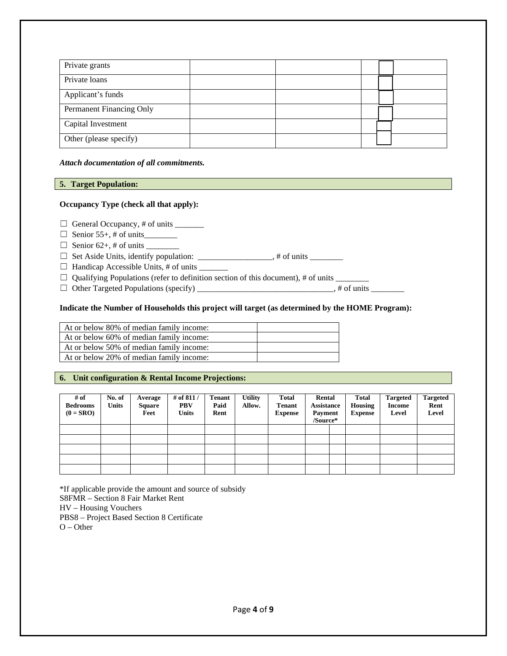| Private grants           |  |  |  |
|--------------------------|--|--|--|
| Private loans            |  |  |  |
| Applicant's funds        |  |  |  |
| Permanent Financing Only |  |  |  |
| Capital Investment       |  |  |  |
| Other (please specify)   |  |  |  |

*Attach documentation of all commitments.*

#### **5. Target Population:**

#### **Occupancy Type (check all that apply):**

 $\Box$  General Occupancy, # of units \_\_\_\_\_\_\_\_

- ☐ Senior 55+, # of units\_\_\_\_\_\_\_\_
- ☐ Senior 62+, # of units \_\_\_\_\_\_\_\_

☐ Set Aside Units, identify population: \_\_\_\_\_\_\_\_\_\_\_\_\_\_\_\_\_\_, # of units \_\_\_\_\_\_\_\_

☐ Handicap Accessible Units, # of units \_\_\_\_\_\_\_

 $\Box$  Qualifying Populations (refer to definition section of this document), # of units

☐ Other Targeted Populations (specify) \_\_\_\_\_\_\_\_\_\_\_\_\_\_\_\_\_\_\_\_\_\_\_\_\_\_\_\_\_\_\_\_\_, # of units \_\_\_\_\_\_\_\_

#### **Indicate the Number of Households this project will target (as determined by the HOME Program):**

| At or below 80% of median family income: |  |
|------------------------------------------|--|
| At or below 60% of median family income: |  |
| At or below 50% of median family income: |  |
| At or below 20% of median family income: |  |

## **6. Unit configuration & Rental Income Projections:**

| # of<br><b>Bedrooms</b><br>$(0 = SRO)$ | No. of<br><b>Units</b> | Average<br><b>Square</b><br>Feet | # of 811 /<br><b>PBV</b><br><b>Units</b> | <b>Tenant</b><br>Paid<br>Rent | <b>Utility</b><br>Allow. | <b>Total</b><br><b>Tenant</b><br><b>Expense</b> | Rental<br><b>Assistance</b><br><b>Payment</b><br>/Source* | <b>Total</b><br>Housing<br><b>Expense</b> | <b>Targeted</b><br><b>Income</b><br>Level | <b>Targeted</b><br>Rent<br>Level |
|----------------------------------------|------------------------|----------------------------------|------------------------------------------|-------------------------------|--------------------------|-------------------------------------------------|-----------------------------------------------------------|-------------------------------------------|-------------------------------------------|----------------------------------|
|                                        |                        |                                  |                                          |                               |                          |                                                 |                                                           |                                           |                                           |                                  |
|                                        |                        |                                  |                                          |                               |                          |                                                 |                                                           |                                           |                                           |                                  |
|                                        |                        |                                  |                                          |                               |                          |                                                 |                                                           |                                           |                                           |                                  |
|                                        |                        |                                  |                                          |                               |                          |                                                 |                                                           |                                           |                                           |                                  |
|                                        |                        |                                  |                                          |                               |                          |                                                 |                                                           |                                           |                                           |                                  |

\*If applicable provide the amount and source of subsidy S8FMR – Section 8 Fair Market Rent HV – Housing Vouchers PBS8 – Project Based Section 8 Certificate O – Other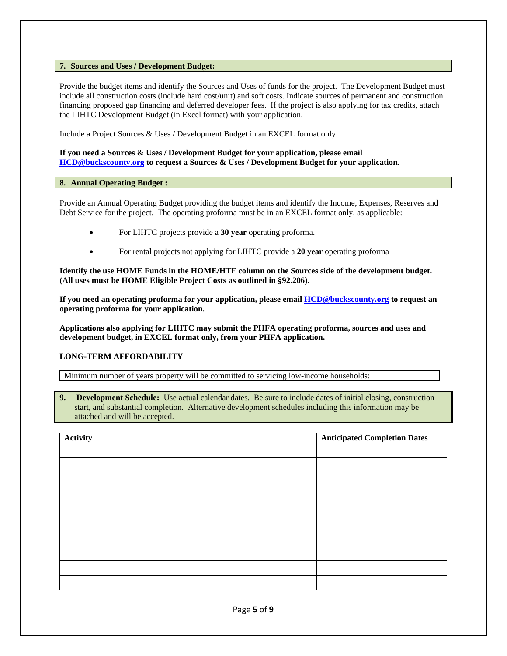## **7. Sources and Uses / Development Budget:**

Provide the budget items and identify the Sources and Uses of funds for the project. The Development Budget must include all construction costs (include hard cost/unit) and soft costs. Indicate sources of permanent and construction financing proposed gap financing and deferred developer fees. If the project is also applying for tax credits, attach the LIHTC Development Budget (in Excel format) with your application.

Include a Project Sources & Uses / Development Budget in an EXCEL format only.

### **If you need a Sources & Uses / Development Budget for your application, please email [HCD@buckscounty.org](mailto:HCD@buckscounty.org) to request a Sources & Uses / Development Budget for your application.**

#### **8. Annual Operating Budget :**

Provide an Annual Operating Budget providing the budget items and identify the Income, Expenses, Reserves and Debt Service for the project. The operating proforma must be in an EXCEL format only, as applicable:

- For LIHTC projects provide a **30 year** operating proforma.
- For rental projects not applying for LIHTC provide a **20 year** operating proforma

**Identify the use HOME Funds in the HOME/HTF column on the Sources side of the development budget. (All uses must be HOME Eligible Project Costs as outlined in §92.206).**

**If you need an operating proforma for your application, please emai[l HCD@buckscounty.org](mailto:HCD@buckscounty.org) to request an operating proforma for your application.**

**Applications also applying for LIHTC may submit the PHFA operating proforma, sources and uses and development budget, in EXCEL format only, from your PHFA application.**

### **LONG-TERM AFFORDABILITY**

Minimum number of years property will be committed to servicing low-income households:

**9. Development Schedule:** Use actual calendar dates. Be sure to include dates of initial closing, construction start, and substantial completion. Alternative development schedules including this information may be attached and will be accepted.

| Activity | <b>Anticipated Completion Dates</b> |
|----------|-------------------------------------|
|          |                                     |
|          |                                     |
|          |                                     |
|          |                                     |
|          |                                     |
|          |                                     |
|          |                                     |
|          |                                     |
|          |                                     |
|          |                                     |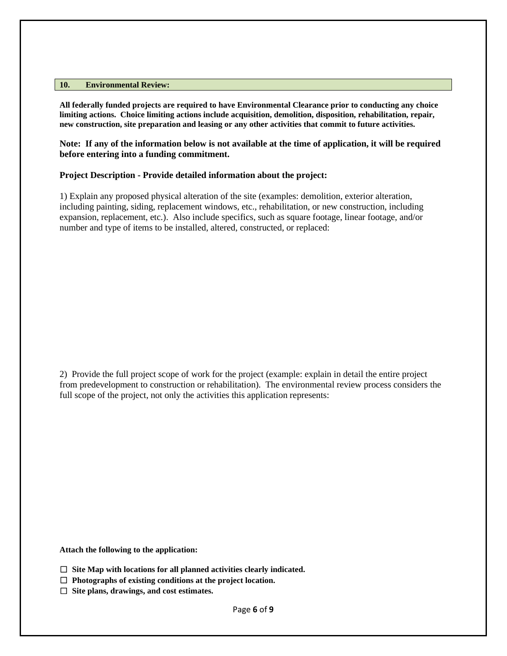#### **10. Environmental Review:**

**All federally funded projects are required to have Environmental Clearance prior to conducting any choice limiting actions. Choice limiting actions include acquisition, demolition, disposition, rehabilitation, repair, new construction, site preparation and leasing or any other activities that commit to future activities.**

**Note: If any of the information below is not available at the time of application, it will be required before entering into a funding commitment.**

## **Project Description - Provide detailed information about the project:**

1) Explain any proposed physical alteration of the site (examples: demolition, exterior alteration, including painting, siding, replacement windows, etc., rehabilitation, or new construction, including expansion, replacement, etc.). Also include specifics, such as square footage, linear footage, and/or number and type of items to be installed, altered, constructed, or replaced:

2) Provide the full project scope of work for the project (example: explain in detail the entire project from predevelopment to construction or rehabilitation). The environmental review process considers the full scope of the project, not only the activities this application represents:

**Attach the following to the application:**

- ☐ **Site Map with locations for all planned activities clearly indicated.**
- ☐ **Photographs of existing conditions at the project location.**
- ☐ **Site plans, drawings, and cost estimates.**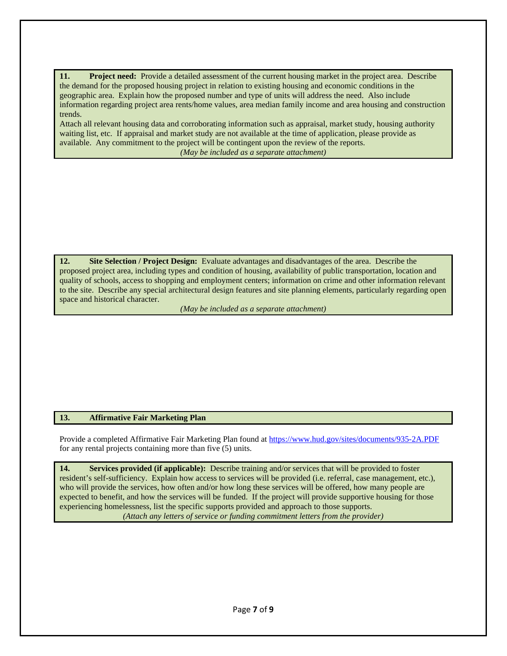**11. Project need:** Provide a detailed assessment of the current housing market in the project area.Describe the demand for the proposed housing project in relation to existing housing and economic conditions in the geographic area. Explain how the proposed number and type of units will address the need. Also include information regarding project area rents/home values, area median family income and area housing and construction trends.

Attach all relevant housing data and corroborating information such as appraisal, market study, housing authority waiting list, etc. If appraisal and market study are not available at the time of application, please provide as available. Any commitment to the project will be contingent upon the review of the reports. *(May be included as a separate attachment)*

**12. Site Selection / Project Design:** Evaluate advantages and disadvantages of the area.Describe the proposed project area, including types and condition of housing, availability of public transportation, location and quality of schools, access to shopping and employment centers; information on crime and other information relevant to the site. Describe any special architectural design features and site planning elements, particularly regarding open space and historical character.

*(May be included as a separate attachment)*

## **13. Affirmative Fair Marketing Plan**

Provide a completed Affirmative Fair Marketing Plan found at <https://www.hud.gov/sites/documents/935-2A.PDF> for any rental projects containing more than five (5) units.

**14. Services provided (if applicable):** Describe training and/or services that will be provided to foster resident's self-sufficiency. Explain how access to services will be provided (i.e. referral, case management, etc.), who will provide the services, how often and/or how long these services will be offered, how many people are expected to benefit, and how the services will be funded. If the project will provide supportive housing for those experiencing homelessness, list the specific supports provided and approach to those supports. *(Attach any letters of service or funding commitment letters from the provider)*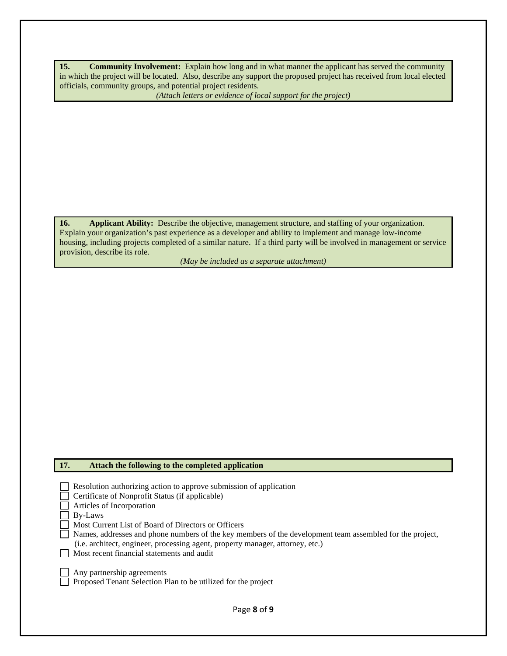**15. Community Involvement:** Explain how long and in what manner the applicant has served the community in which the project will be located. Also, describe any support the proposed project has received from local elected officials, community groups, and potential project residents.

*(Attach letters or evidence of local support for the project)*

**16. Applicant Ability:** Describe the objective, management structure, and staffing of your organization. Explain your organization's past experience as a developer and ability to implement and manage low-income housing, including projects completed of a similar nature. If a third party will be involved in management or service provision, describe its role.

*(May be included as a separate attachment)*

## **17. Attach the following to the completed application**

| Resolution authorizing action to approve submission of application                                       |
|----------------------------------------------------------------------------------------------------------|
| Certificate of Nonprofit Status (if applicable)                                                          |
| $\Box$ Articles of Incorporation                                                                         |
| $\Box$ By-Laws                                                                                           |
| Most Current List of Board of Directors or Officers                                                      |
| Names, addresses and phone numbers of the key members of the development team assembled for the project, |
| (i.e. architect, engineer, processing agent, property manager, attorney, etc.)                           |
| Most recent financial statements and audit                                                               |
|                                                                                                          |
| $\Box$ Any partnership agreements                                                                        |
| $\Box$ Proposed Tenant Selection Plan to be utilized for the project                                     |
|                                                                                                          |
|                                                                                                          |
| Page 8 of 9                                                                                              |